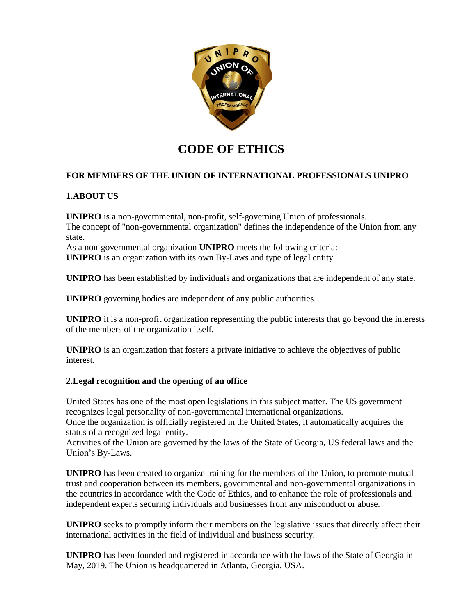

# **CODE OF ETHICS**

# **FOR MEMBERS OF THE UNION OF INTERNATIONAL PROFESSIONALS UNIPRO**

# **1.ABOUT US**

**UNIPRO** is a non-governmental, non-profit, self-governing Union of professionals. The concept of "non-governmental organization" defines the independence of the Union from any state.

As a non-governmental organization **UNIPRO** meets the following criteria: **UNIPRO** is an organization with its own By-Laws and type of legal entity.

**UNIPRO** has been established by individuals and organizations that are independent of any state.

**UNIPRO** governing bodies are independent of any public authorities.

**UNIPRO** it is a non-profit organization representing the public interests that go beyond the interests of the members of the organization itself.

**UNIPRO** is an organization that fosters a private initiative to achieve the objectives of public interest.

# **2.Legal recognition and the opening of an office**

United States has one of the most open legislations in this subject matter. The US government recognizes legal personality of non-governmental international organizations.

Once the organization is officially registered in the United States, it automatically acquires the status of a recognized legal entity.

Activities of the Union are governed by the laws of the State of Georgia, US federal laws and the Union's By-Laws.

**UNIPRO** has been created to organize training for the members of the Union, to promote mutual trust and cooperation between its members, governmental and non-governmental organizations in the countries in accordance with the Code of Ethics, and to enhance the role of professionals and independent experts securing individuals and businesses from any misconduct or abuse.

**UNIPRO** seeks to promptly inform their members on the legislative issues that directly affect their international activities in the field of individual and business security.

**UNIPRO** has been founded and registered in accordance with the laws of the State of Georgia in May, 2019. The Union is headquartered in Atlanta, Georgia, USA.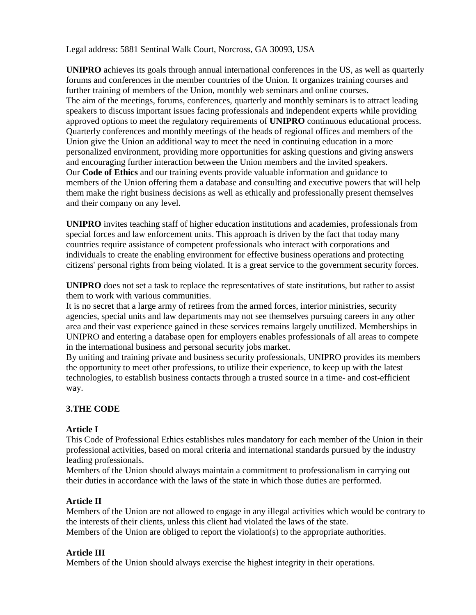Legal address: 5881 Sentinal Walk Court, Norcross, GA 30093, USA

**UNIPRO** achieves its goals through annual international conferences in the US, as well as quarterly forums and conferences in the member countries of the Union. It organizes training courses and further training of members of the Union, monthly web seminars and online courses. The aim of the meetings, forums, conferences, quarterly and monthly seminars is to attract leading speakers to discuss important issues facing professionals and independent experts while providing approved options to meet the regulatory requirements of **UNIPRO** continuous educational process. Quarterly conferences and monthly meetings of the heads of regional offices and members of the Union give the Union an additional way to meet the need in continuing education in a more personalized environment, providing more opportunities for asking questions and giving answers and encouraging further interaction between the Union members and the invited speakers. Our **Code of Ethics** and our training events provide valuable information and guidance to members of the Union offering them a database and consulting and executive powers that will help them make the right business decisions as well as ethically and professionally present themselves and their company on any level.

**UNIPRO** invites teaching staff of higher education institutions and academies, professionals from special forces and law enforcement units. This approach is driven by the fact that today many countries require assistance of competent professionals who interact with corporations and individuals to create the enabling environment for effective business operations and protecting citizens' personal rights from being violated. It is a great service to the government security forces.

**UNIPRO** does not set a task to replace the representatives of state institutions, but rather to assist them to work with various communities.

It is no secret that a large army of retirees from the armed forces, interior ministries, security agencies, special units and law departments may not see themselves pursuing careers in any other area and their vast experience gained in these services remains largely unutilized. Memberships in UNIPRO and entering a database open for employers enables professionals of all areas to compete in the international business and personal security jobs market.

By uniting and training private and business security professionals, UNIPRO provides its members the opportunity to meet other professions, to utilize their experience, to keep up with the latest technologies, to establish business contacts through a trusted source in a time- and cost-efficient way.

# **3.THE CODE**

#### **Article I**

This Code of Professional Ethics establishes rules mandatory for each member of the Union in their professional activities, based on moral criteria and international standards pursued by the industry leading professionals.

Members of the Union should always maintain a commitment to professionalism in carrying out their duties in accordance with the laws of the state in which those duties are performed.

#### **Article II**

Members of the Union are not allowed to engage in any illegal activities which would be contrary to the interests of their clients, unless this client had violated the laws of the state. Members of the Union are obliged to report the violation(s) to the appropriate authorities.

#### **Article III**

Members of the Union should always exercise the highest integrity in their operations.